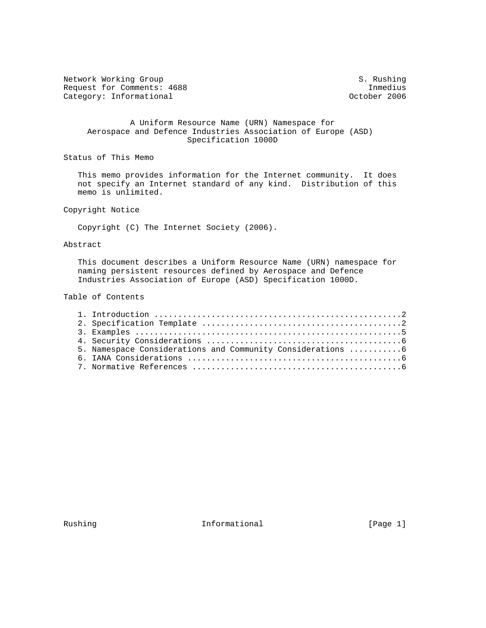Network Working Group S. Rushing S. Rushing Request for Comments: 4688 Inmedius<br>
Category: Informational and Category: Informational and Category: Informational Category: Informational

# A Uniform Resource Name (URN) Namespace for Aerospace and Defence Industries Association of Europe (ASD) Specification 1000D

Status of This Memo

 This memo provides information for the Internet community. It does not specify an Internet standard of any kind. Distribution of this memo is unlimited.

Copyright Notice

Copyright (C) The Internet Society (2006).

# Abstract

 This document describes a Uniform Resource Name (URN) namespace for naming persistent resources defined by Aerospace and Defence Industries Association of Europe (ASD) Specification 1000D.

# Table of Contents

| 5. Namespace Considerations and Community Considerations  6 |
|-------------------------------------------------------------|
|                                                             |
|                                                             |

Rushing **Informational Informational** [Page 1]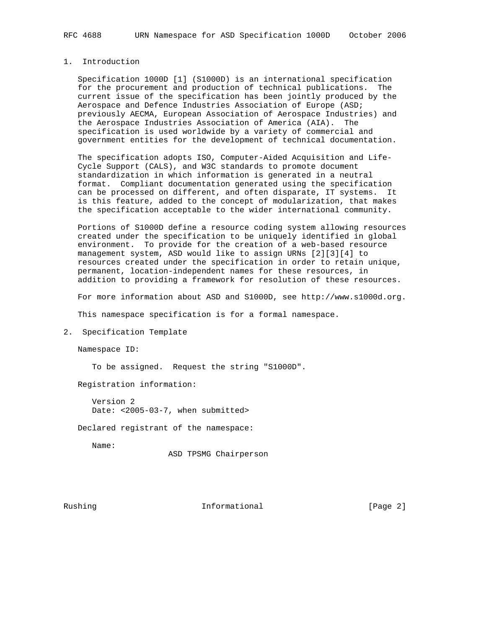# 1. Introduction

 Specification 1000D [1] (S1000D) is an international specification for the procurement and production of technical publications. The current issue of the specification has been jointly produced by the Aerospace and Defence Industries Association of Europe (ASD; previously AECMA, European Association of Aerospace Industries) and the Aerospace Industries Association of America (AIA). The specification is used worldwide by a variety of commercial and government entities for the development of technical documentation.

 The specification adopts ISO, Computer-Aided Acquisition and Life- Cycle Support (CALS), and W3C standards to promote document standardization in which information is generated in a neutral format. Compliant documentation generated using the specification can be processed on different, and often disparate, IT systems. It is this feature, added to the concept of modularization, that makes the specification acceptable to the wider international community.

 Portions of S1000D define a resource coding system allowing resources created under the specification to be uniquely identified in global environment. To provide for the creation of a web-based resource management system, ASD would like to assign URNs [2][3][4] to resources created under the specification in order to retain unique, permanent, location-independent names for these resources, in addition to providing a framework for resolution of these resources.

For more information about ASD and S1000D, see http://www.s1000d.org.

This namespace specification is for a formal namespace.

2. Specification Template

Namespace ID:

To be assigned. Request the string "S1000D".

Registration information:

 Version 2 Date: <2005-03-7, when submitted>

Declared registrant of the namespace:

Name:

ASD TPSMG Chairperson

Rushing **Informational Informational** [Page 2]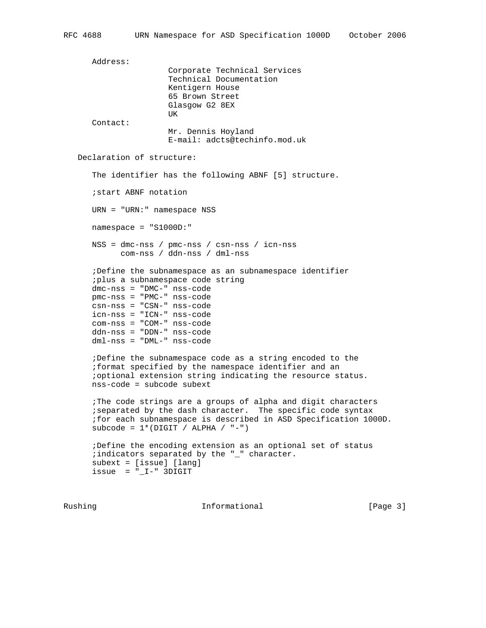Address: Corporate Technical Services Technical Documentation Kentigern House 65 Brown Street Glasgow G2 8EX UK DE STATISTIKE OG STATISTIKE OG STATISTIKE OG STATISTIKE OG STATISTIKE OG STATISTIKE OG STATISTIKE OG STATISTIKE Contact: Mr. Dennis Hoyland E-mail: adcts@techinfo.mod.uk Declaration of structure: The identifier has the following ABNF [5] structure. ;start ABNF notation URN = "URN:" namespace NSS namespace = "S1000D:" NSS = dmc-nss / pmc-nss / csn-nss / icn-nss com-nss / ddn-nss / dml-nss ;Define the subnamespace as an subnamespace identifier ;plus a subnamespace code string dmc-nss = "DMC-" nss-code pmc-nss = "PMC-" nss-code csn-nss = "CSN-" nss-code icn-nss = "ICN-" nss-code com-nss = "COM-" nss-code ddn-nss = "DDN-" nss-code dml-nss = "DML-" nss-code ;Define the subnamespace code as a string encoded to the ;format specified by the namespace identifier and an ;optional extension string indicating the resource status. nss-code = subcode subext ;The code strings are a groups of alpha and digit characters ;separated by the dash character. The specific code syntax ;for each subnamespace is described in ASD Specification 1000D. subcode =  $1*(\text{DIST } / \text{ALPHA } / \text{ "--"} )$  ;Define the encoding extension as an optional set of status ;indicators separated by the "\_" character. subext = [issue] [lang]  $i$ ssue =  $"_I -" 3$ DIGIT

Rushing **Informational Informational** [Page 3]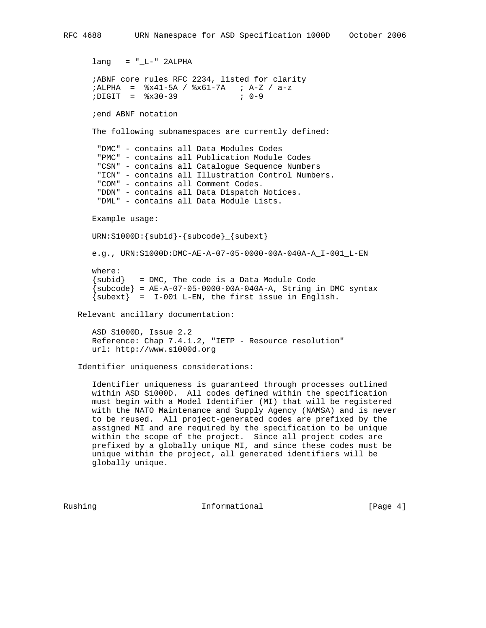```
RFC 4688 URN Namespace for ASD Specification 1000D October 2006
```

```
lang = "_L--" 2ALPHA ;ABNF core rules RFC 2234, listed for clarity
 ;ALPHA = %x41-5A / %x61-7A ; A-Z / a-z
 ;DIGIT = %x30-39 ; 0-9
       ;end ABNF notation
      The following subnamespaces are currently defined:
        "DMC" - contains all Data Modules Codes
       "PMC" - contains all Publication Module Codes
        "CSN" - contains all Catalogue Sequence Numbers
        "ICN" - contains all Illustration Control Numbers.
        "COM" - contains all Comment Codes.
        "DDN" - contains all Data Dispatch Notices.
       "DML" - contains all Data Module Lists.
      Example usage:
      URN:S1000D:{subid}-{subcode}_{subext}
      e.g., URN:S1000D:DMC-AE-A-07-05-0000-00A-040A-A_I-001_L-EN
      where:
      \{subid\} = DMC, The code is a Data Module Code
      \{subcode{\} = AE-A-07-05-0000-00A-040A-A, String in DMC syntax
      \{\text{subext}\} = _I-001_L-EN, the first issue in English.
   Relevant ancillary documentation:
      ASD S1000D, Issue 2.2
      Reference: Chap 7.4.1.2, "IETP - Resource resolution"
      url: http://www.s1000d.org
```
Identifier uniqueness considerations:

 Identifier uniqueness is guaranteed through processes outlined within ASD S1000D. All codes defined within the specification must begin with a Model Identifier (MI) that will be registered with the NATO Maintenance and Supply Agency (NAMSA) and is never to be reused. All project-generated codes are prefixed by the assigned MI and are required by the specification to be unique within the scope of the project. Since all project codes are prefixed by a globally unique MI, and since these codes must be unique within the project, all generated identifiers will be globally unique.

Rushing **Informational Informational** [Page 4]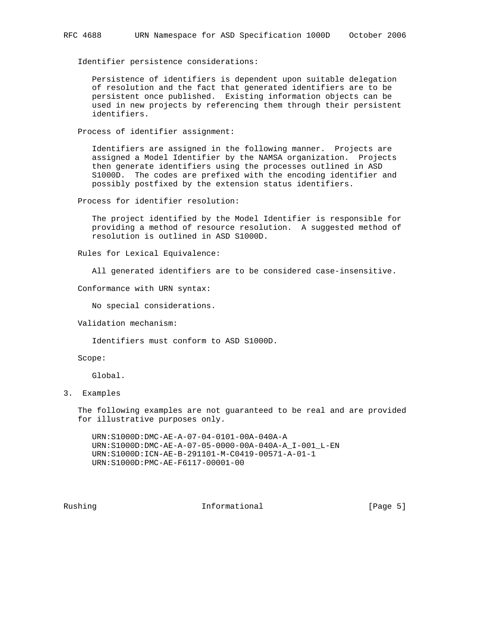Identifier persistence considerations:

 Persistence of identifiers is dependent upon suitable delegation of resolution and the fact that generated identifiers are to be persistent once published. Existing information objects can be used in new projects by referencing them through their persistent identifiers.

Process of identifier assignment:

 Identifiers are assigned in the following manner. Projects are assigned a Model Identifier by the NAMSA organization. Projects then generate identifiers using the processes outlined in ASD S1000D. The codes are prefixed with the encoding identifier and possibly postfixed by the extension status identifiers.

Process for identifier resolution:

 The project identified by the Model Identifier is responsible for providing a method of resource resolution. A suggested method of resolution is outlined in ASD S1000D.

Rules for Lexical Equivalence:

All generated identifiers are to be considered case-insensitive.

Conformance with URN syntax:

No special considerations.

Validation mechanism:

Identifiers must conform to ASD S1000D.

Scope:

Global.

3. Examples

 The following examples are not guaranteed to be real and are provided for illustrative purposes only.

 URN:S1000D:DMC-AE-A-07-04-0101-00A-040A-A URN:S1000D:DMC-AE-A-07-05-0000-00A-040A-A\_I-001\_L-EN URN:S1000D:ICN-AE-B-291101-M-C0419-00571-A-01-1 URN:S1000D:PMC-AE-F6117-00001-00

Rushing **Informational Informational** [Page 5]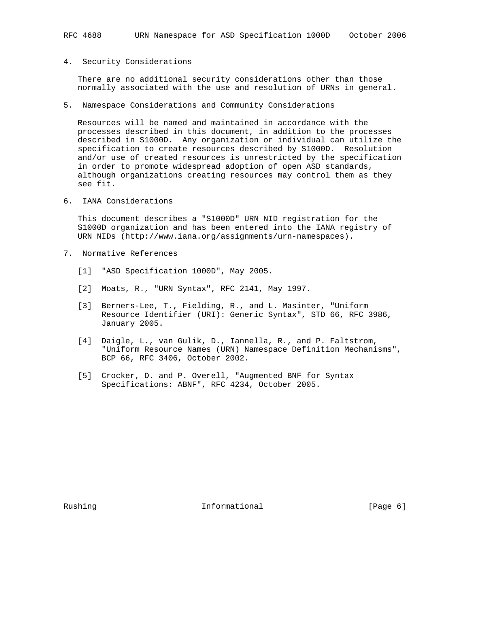# 4. Security Considerations

 There are no additional security considerations other than those normally associated with the use and resolution of URNs in general.

5. Namespace Considerations and Community Considerations

 Resources will be named and maintained in accordance with the processes described in this document, in addition to the processes described in S1000D. Any organization or individual can utilize the specification to create resources described by S1000D. Resolution and/or use of created resources is unrestricted by the specification in order to promote widespread adoption of open ASD standards, although organizations creating resources may control them as they see fit.

6. IANA Considerations

 This document describes a "S1000D" URN NID registration for the S1000D organization and has been entered into the IANA registry of URN NIDs (http://www.iana.org/assignments/urn-namespaces).

- 7. Normative References
	- [1] "ASD Specification 1000D", May 2005.
	- [2] Moats, R., "URN Syntax", RFC 2141, May 1997.
	- [3] Berners-Lee, T., Fielding, R., and L. Masinter, "Uniform Resource Identifier (URI): Generic Syntax", STD 66, RFC 3986, January 2005.
	- [4] Daigle, L., van Gulik, D., Iannella, R., and P. Faltstrom, "Uniform Resource Names (URN) Namespace Definition Mechanisms", BCP 66, RFC 3406, October 2002.
	- [5] Crocker, D. and P. Overell, "Augmented BNF for Syntax Specifications: ABNF", RFC 4234, October 2005.

Rushing **Informational Informational** [Page 6]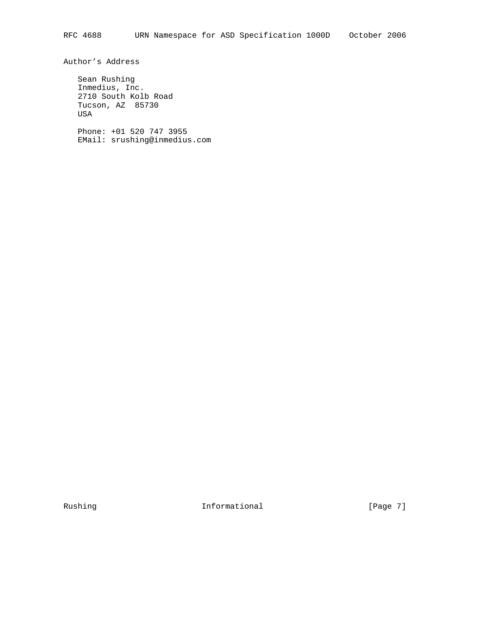Author's Address

 Sean Rushing Inmedius, Inc. 2710 South Kolb Road Tucson, AZ 85730 USA Phone: +01 520 747 3955

EMail: srushing@inmedius.com

Rushing **Informational Informational** [Page 7]